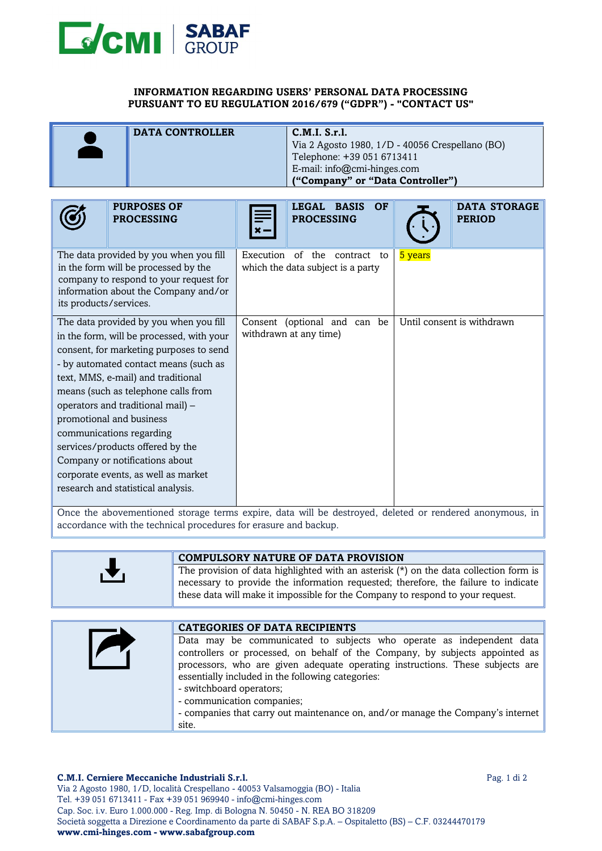

## **INFORMATION REGARDING USERS' PERSONAL DATA PROCESSING PURSUANT TO EU REGULATION 2016/679 ("GDPR") - "CONTACT US"**

| <b>DATA CONTROLLER</b> | C.M.I. S.r.l.                                   |
|------------------------|-------------------------------------------------|
|                        |                                                 |
|                        | Via 2 Agosto 1980, 1/D - 40056 Crespellano (BO) |
|                        | Telephone: +39 051 6713411                      |
|                        | E-mail: info@cmi-hinges.com                     |
|                        | ("Company" or "Data Controller")                |

| <b>PURPOSES OF</b><br><b>PROCESSING</b>                                                                                                                                                                                                                                                                                                                                                                                                                                                              | LEGAL BASIS<br><b>OF</b><br><b>PROCESSING</b>                                         | <b>DATA STORAGE</b><br><b>PERIOD</b>                                           |
|------------------------------------------------------------------------------------------------------------------------------------------------------------------------------------------------------------------------------------------------------------------------------------------------------------------------------------------------------------------------------------------------------------------------------------------------------------------------------------------------------|---------------------------------------------------------------------------------------|--------------------------------------------------------------------------------|
| The data provided by you when you fill<br>in the form will be processed by the<br>company to respond to your request for<br>information about the Company and/or<br>its products/services.                                                                                                                                                                                                                                                                                                           | Execution<br>of the<br>contract<br>to<br>which the data subject is a party            | 5 years                                                                        |
| The data provided by you when you fill<br>in the form, will be processed, with your<br>consent, for marketing purposes to send<br>- by automated contact means (such as<br>text, MMS, e-mail) and traditional<br>means (such as telephone calls from<br>operators and traditional mail) -<br>promotional and business<br>communications regarding<br>services/products offered by the<br>Company or notifications about<br>corporate events, as well as market<br>research and statistical analysis. | Consent (optional and can be<br>withdrawn at any time)<br>$11.1$ $1.1$ $1.1$<br>1.1.1 | Until consent is withdrawn<br>$1 \t1 \t1 \t1 \t1$<br>$\mathbf{1}$ $\mathbf{1}$ |

Once the abovementioned storage terms expire, data will be destroyed, deleted or rendered anonymous, in accordance with the technical procedures for erasure and backup.

|          | <b>COMPULSORY NATURE OF DATA PROVISION</b>                                              |
|----------|-----------------------------------------------------------------------------------------|
| <b>A</b> | The provision of data highlighted with an asterisk $(*)$ on the data collection form is |
|          | necessary to provide the information requested; therefore, the failure to indicate      |
|          |                                                                                         |
|          | these data will make it impossible for the Company to respond to your request.          |

| <b>CATEGORIES OF DATA RECIPIENTS</b>                                                                                                                                                                                                                                                                                                                 |
|------------------------------------------------------------------------------------------------------------------------------------------------------------------------------------------------------------------------------------------------------------------------------------------------------------------------------------------------------|
| Data may be communicated to subjects who operate as independent data<br>controllers or processed, on behalf of the Company, by subjects appointed as<br>processors, who are given adequate operating instructions. These subjects are<br>essentially included in the following categories:<br>- switchboard operators;<br>- communication companies; |
| - companies that carry out maintenance on, and/or manage the Company's internet                                                                                                                                                                                                                                                                      |
| site.                                                                                                                                                                                                                                                                                                                                                |